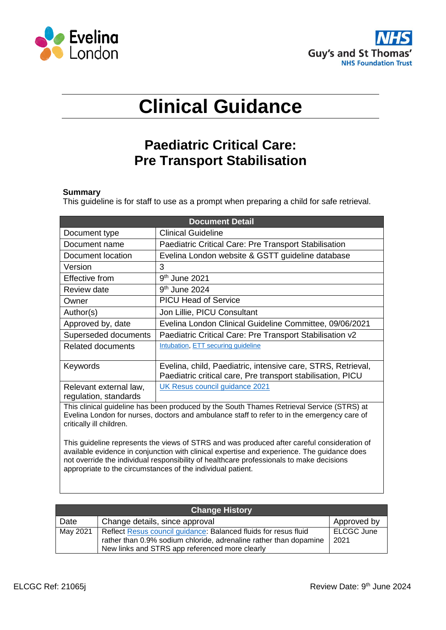



# **Clinical Guidance**

# **Paediatric Critical Care: Pre Transport Stabilisation**

#### **Summary**

This guideline is for staff to use as a prompt when preparing a child for safe retrieval.

| <b>Document Detail</b>                          |                                                                                                                                                                                                                                                                                                                                                       |  |  |  |  |
|-------------------------------------------------|-------------------------------------------------------------------------------------------------------------------------------------------------------------------------------------------------------------------------------------------------------------------------------------------------------------------------------------------------------|--|--|--|--|
| Document type                                   | <b>Clinical Guideline</b>                                                                                                                                                                                                                                                                                                                             |  |  |  |  |
| Document name                                   | Paediatric Critical Care: Pre Transport Stabilisation                                                                                                                                                                                                                                                                                                 |  |  |  |  |
| Document location                               | Evelina London website & GSTT guideline database                                                                                                                                                                                                                                                                                                      |  |  |  |  |
| Version                                         | 3                                                                                                                                                                                                                                                                                                                                                     |  |  |  |  |
| Effective from                                  | $9th$ June 2021                                                                                                                                                                                                                                                                                                                                       |  |  |  |  |
| <b>Review date</b>                              | 9 <sup>th</sup> June 2024                                                                                                                                                                                                                                                                                                                             |  |  |  |  |
| Owner                                           | <b>PICU Head of Service</b>                                                                                                                                                                                                                                                                                                                           |  |  |  |  |
| Author(s)                                       | Jon Lillie, PICU Consultant                                                                                                                                                                                                                                                                                                                           |  |  |  |  |
| Approved by, date                               | Evelina London Clinical Guideline Committee, 09/06/2021                                                                                                                                                                                                                                                                                               |  |  |  |  |
| Superseded documents                            | Paediatric Critical Care: Pre Transport Stabilisation v2                                                                                                                                                                                                                                                                                              |  |  |  |  |
| <b>Related documents</b>                        | Intubation, ETT securing guideline                                                                                                                                                                                                                                                                                                                    |  |  |  |  |
| Keywords                                        | Evelina, child, Paediatric, intensive care, STRS, Retrieval,<br>Paediatric critical care, Pre transport stabilisation, PICU                                                                                                                                                                                                                           |  |  |  |  |
| Relevant external law,<br>regulation, standards | UK Resus council guidance 2021                                                                                                                                                                                                                                                                                                                        |  |  |  |  |
| critically ill children.                        | This clinical guideline has been produced by the South Thames Retrieval Service (STRS) at<br>Evelina London for nurses, doctors and ambulance staff to refer to in the emergency care of                                                                                                                                                              |  |  |  |  |
|                                                 | This guideline represents the views of STRS and was produced after careful consideration of<br>available evidence in conjunction with clinical expertise and experience. The guidance does<br>not override the individual responsibility of healthcare professionals to make decisions<br>appropriate to the circumstances of the individual patient. |  |  |  |  |

| <b>Change History</b> |                                                                                                                                      |                    |  |  |  |  |
|-----------------------|--------------------------------------------------------------------------------------------------------------------------------------|--------------------|--|--|--|--|
| Date                  | Change details, since approval                                                                                                       | Approved by        |  |  |  |  |
| May 2021              | Reflect Resus council guidance: Balanced fluids for resus fluid<br>rather than 0.9% sodium chloride, adrenaline rather than dopamine | ELCGC June<br>2021 |  |  |  |  |
|                       | New links and STRS app referenced more clearly                                                                                       |                    |  |  |  |  |